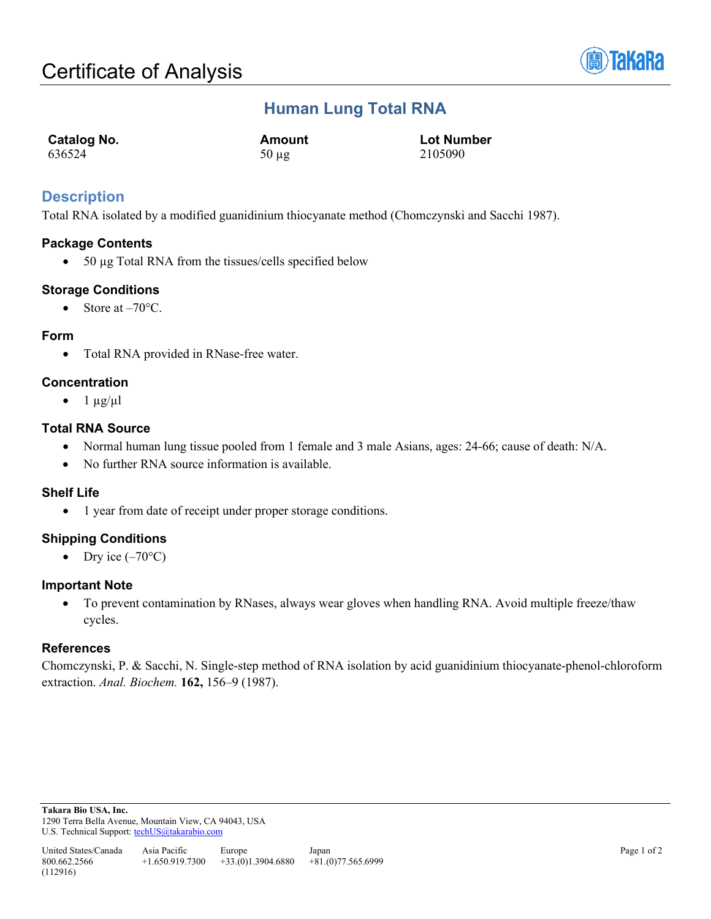

## **Human Lung Total RNA**

| <b>Catalog No.</b> | Amount     | <b>Lot Number</b> |
|--------------------|------------|-------------------|
| 636524             | $50 \mu$ g | 2105090           |

## **Description**

Total RNA isolated by a modified guanidinium thiocyanate method (Chomczynski and Sacchi 1987).

### **Package Contents**

• 50 µg Total RNA from the tissues/cells specified below

### **Storage Conditions**

• Store at  $-70^{\circ}$ C.

### **Form**

• Total RNA provided in RNase-free water.

### **Concentration**

 $\bullet$  1  $\mu$ g/ $\mu$ l

### **Total RNA Source**

- Normal human lung tissue pooled from 1 female and 3 male Asians, ages: 24-66; cause of death: N/A.
- No further RNA source information is available.

### **Shelf Life**

• 1 year from date of receipt under proper storage conditions.

## **Shipping Conditions**

• Dry ice  $(-70^{\circ}C)$ 

### **Important Note**

• To prevent contamination by RNases, always wear gloves when handling RNA. Avoid multiple freeze/thaw cycles.

### **References**

Chomczynski, P. & Sacchi, N. Single-step method of RNA isolation by acid guanidinium thiocyanate-phenol-chloroform extraction. *Anal. Biochem.* **162,** 156–9 (1987).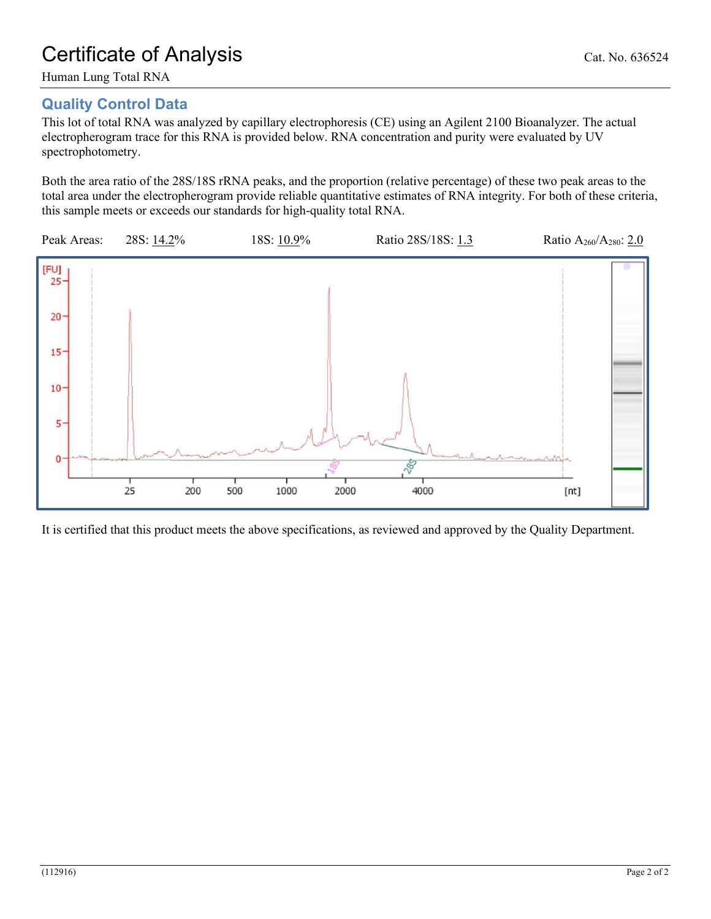## **Quality Control Data**

This lot of total RNA was analyzed by capillary electrophoresis (CE) using an Agilent 2100 Bioanalyzer. The actual electropherogram trace for this RNA is provided below. RNA concentration and purity were evaluated by UV spectrophotometry.

Both the area ratio of the 28S/18S rRNA peaks, and the proportion (relative percentage) of these two peak areas to the total area under the electropherogram provide reliable quantitative estimates of RNA integrity. For both of these criteria, this sample meets or exceeds our standards for high-quality total RNA.



It is certified that this product meets the above specifications, as reviewed and approved by the Quality Department.